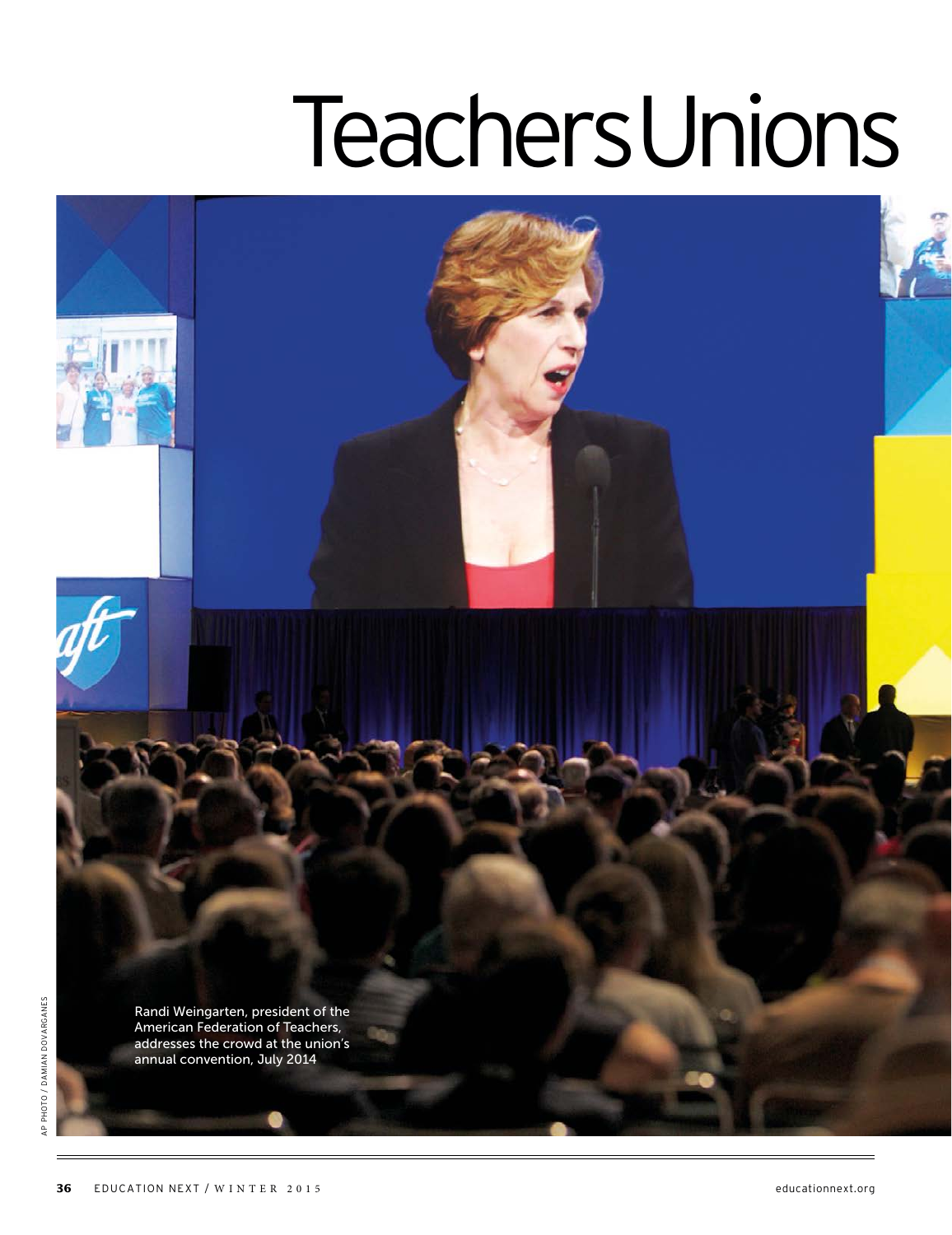## **TeachersUnions**

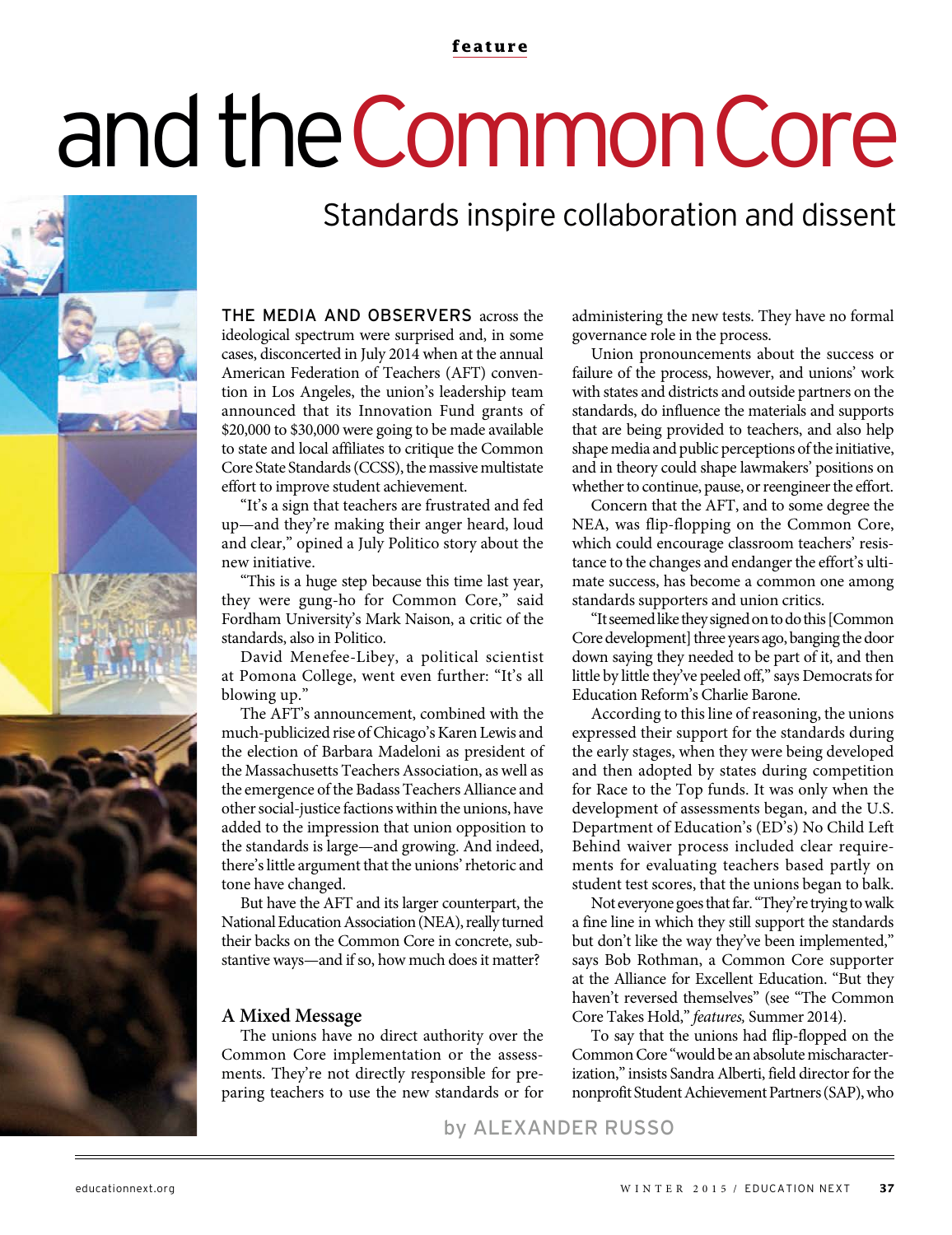#### **feature**

# and the Common Core

### Standards inspire collaboration and dissent

THE MEDIA AND OBSERVERS across the ideological spectrum were surprised and, in some cases, disconcerted in July 2014 when at the annual American Federation of Teachers (AFT) convention in Los Angeles, the union's leadership team announced that its Innovation Fund grants of \$20,000 to \$30,000 were going to be made available to state and local affiliates to critique the Common Core State Standards (CCSS), the massive multistate effort to improve student achievement.

"It's a sign that teachers are frustrated and fed up—and they're making their anger heard, loud and clear," opined a July Politico story about the new initiative.

"This is a huge step because this time last year, they were gung-ho for Common Core," said Fordham University's Mark Naison, a critic of the standards, also in Politico.

David Menefee-Libey, a political scientist at Pomona College, went even further: "It's all blowing up."

The AFT's announcement, combined with the much-publicized rise of Chicago's Karen Lewis and the election of Barbara Madeloni as president of the Massachusetts Teachers Association, as well as the emergence of the Badass Teachers Alliance and other social-justice factions within the unions, have added to the impression that union opposition to the standards is large—and growing. And indeed, there's little argument that the unions' rhetoric and tone have changed.

But have the AFT and its larger counterpart, the National Education Association (NEA), really turned their backs on the Common Core in concrete, substantive ways—and if so, how much does it matter?

#### **A Mixed Message**

The unions have no direct authority over the Common Core implementation or the assessments. They're not directly responsible for preparing teachers to use the new standards or for

administering the new tests. They have no formal governance role in the process.

Union pronouncements about the success or failure of the process, however, and unions' work with states and districts and outside partners on the standards, do influence the materials and supports that are being provided to teachers, and also help shape media and public perceptions of the initiative, and in theory could shape lawmakers' positions on whether to continue, pause, or reengineer the effort.

Concern that the AFT, and to some degree the NEA, was flip-flopping on the Common Core, which could encourage classroom teachers' resistance to the changes and endanger the effort's ultimate success, has become a common one among standards supporters and union critics.

"It seemed like they signed on to do this [Common Core development] three years ago, banging the door down saying they needed to be part of it, and then little by little they've peeled off," says Democrats for Education Reform's Charlie Barone.

According to this line of reasoning, the unions expressed their support for the standards during the early stages, when they were being developed and then adopted by states during competition for Race to the Top funds. It was only when the development of assessments began, and the U.S. Department of Education's (ED's) No Child Left Behind waiver process included clear requirements for evaluating teachers based partly on student test scores, that the unions began to balk.

Not everyone goes that far. "They're trying to walk a fine line in which they still support the standards but don't like the way they've been implemented," says Bob Rothman, a Common Core supporter at the Alliance for Excellent Education. "But they haven't reversed themselves" (see "The Common Core Takes Hold," features, Summer 2014).

To say that the unions had flip-flopped on the Common Core "would be an absolute mischaracterization," insists Sandra Alberti, field director for the nonprofit Student Achievement Partners (SAP), who

by ALEXANDER RUSSO

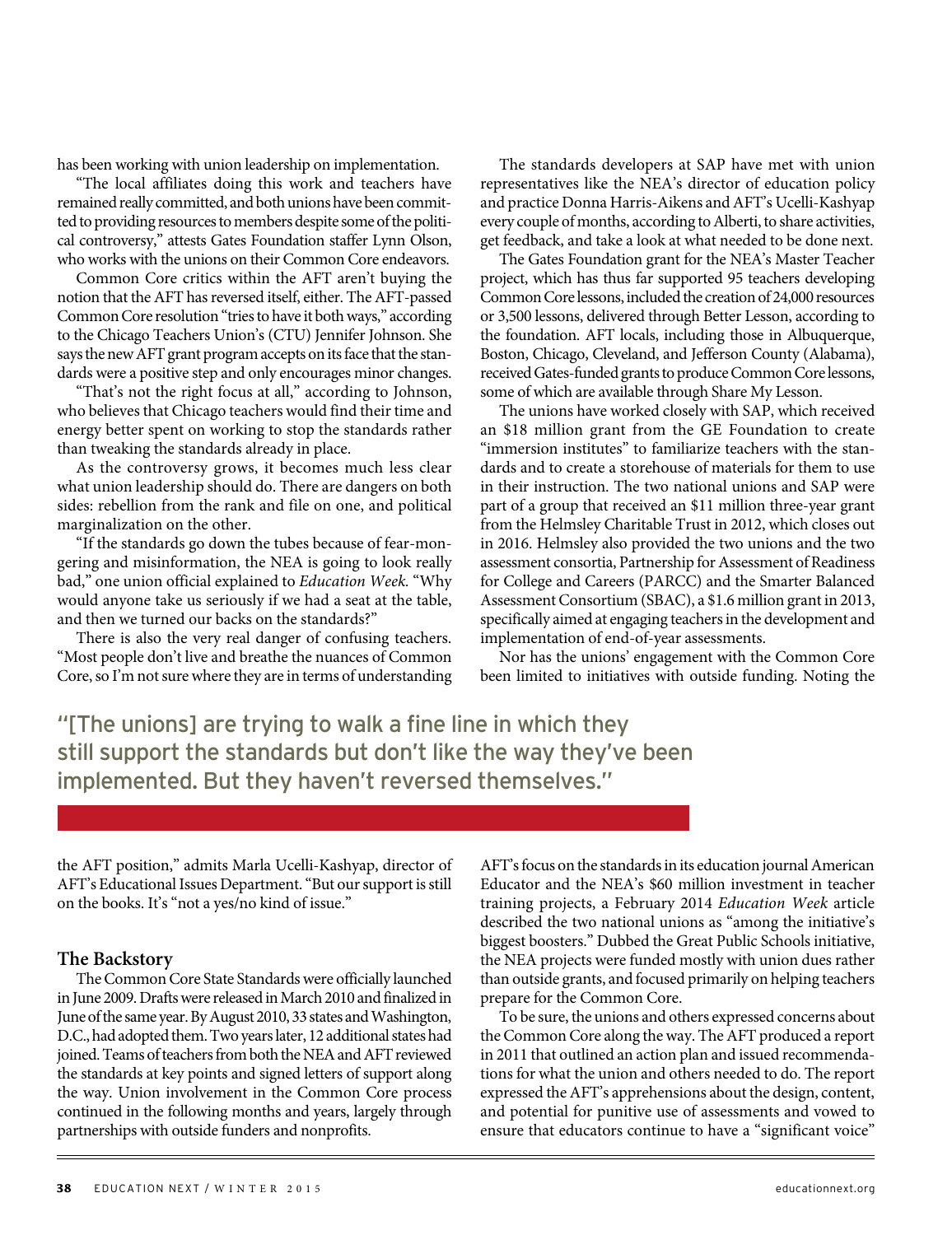has been working with union leadership on implementation.

"The local affiliates doing this work and teachers have remained really committed, and both unions have been committed to providing resources to members despite some of the political controversy," attests Gates Foundation staffer Lynn Olson, who works with the unions on their Common Core endeavors.

Common Core critics within the AFT aren't buying the notion that the AFT has reversed itself, either. The AFT-passed Common Core resolution "tries to have it both ways," according to the Chicago Teachers Union's (CTU) Jennifer Johnson. She says the new AFT grant program accepts on its face that the standards were a positive step and only encourages minor changes.

"That's not the right focus at all," according to Johnson, who believes that Chicago teachers would find their time and energy better spent on working to stop the standards rather than tweaking the standards already in place.

As the controversy grows, it becomes much less clear what union leadership should do. There are dangers on both sides: rebellion from the rank and file on one, and political marginalization on the other.

"If the standards go down the tubes because of fear-mongering and misinformation, the NEA is going to look really bad," one union official explained to Education Week. "Why would anyone take us seriously if we had a seat at the table, and then we turned our backs on the standards?"

There is also the very real danger of confusing teachers. "Most people don't live and breathe the nuances of Common Core, so I'm not sure where they are in terms of understanding

The standards developers at SAP have met with union representatives like the NEA's director of education policy and practice Donna Harris-Aikens and AFT's Ucelli-Kashyap every couple of months, according to Alberti, to share activities, get feedback, and take a look at what needed to be done next.

The Gates Foundation grant for the NEA's Master Teacher project, which has thus far supported 95 teachers developing Common Core lessons, included the creation of 24,000 resources or 3,500 lessons, delivered through Better Lesson, according to the foundation. AFT locals, including those in Albuquerque, Boston, Chicago, Cleveland, and Jefferson County (Alabama), received Gates-funded grants to produce Common Core lessons, some of which are available through Share My Lesson.

The unions have worked closely with SAP, which received an \$18 million grant from the GE Foundation to create "immersion institutes" to familiarize teachers with the standards and to create a storehouse of materials for them to use in their instruction. The two national unions and SAP were part of a group that received an \$11 million three-year grant from the Helmsley Charitable Trust in 2012, which closes out in 2016. Helmsley also provided the two unions and the two assessment consortia, Partnership for Assessment of Readiness for College and Careers (PARCC) and the Smarter Balanced Assessment Consortium (SBAC), a \$1.6 million grant in 2013, specifically aimed at engaging teachers in the development and implementation of end-of-year assessments.

Nor has the unions' engagement with the Common Core been limited to initiatives with outside funding. Noting the

"[The unions] are trying to walk a fine line in which they still support the standards but don't like the way they've been implemented. But they haven't reversed themselves."

the AFT position," admits Marla Ucelli-Kashyap, director of AFT's Educational Issues Department. "But our support is still on the books. It's "not a yes/no kind of issue."

#### **The Backstory**

The Common Core State Standards were officially launched in June 2009. Drafts were released in March 2010 and finalized in June of the same year. By August 2010, 33 states and Washington, D.C., had adopted them. Two years later, 12 additional states had joined. Teams of teachers from both the NEA and AFT reviewed the standards at key points and signed letters of support along the way. Union involvement in the Common Core process continued in the following months and years, largely through partnerships with outside funders and nonprofits.

AFT's focus on the standards in its education journal American Educator and the NEA's \$60 million investment in teacher training projects, a February 2014 Education Week article described the two national unions as "among the initiative's biggest boosters." Dubbed the Great Public Schools initiative, the NEA projects were funded mostly with union dues rather than outside grants, and focused primarily on helping teachers prepare for the Common Core.

To be sure, the unions and others expressed concerns about the Common Core along the way. The AFT produced a report in 2011 that outlined an action plan and issued recommendations for what the union and others needed to do. The report expressed the AFT's apprehensions about the design, content, and potential for punitive use of assessments and vowed to ensure that educators continue to have a "significant voice"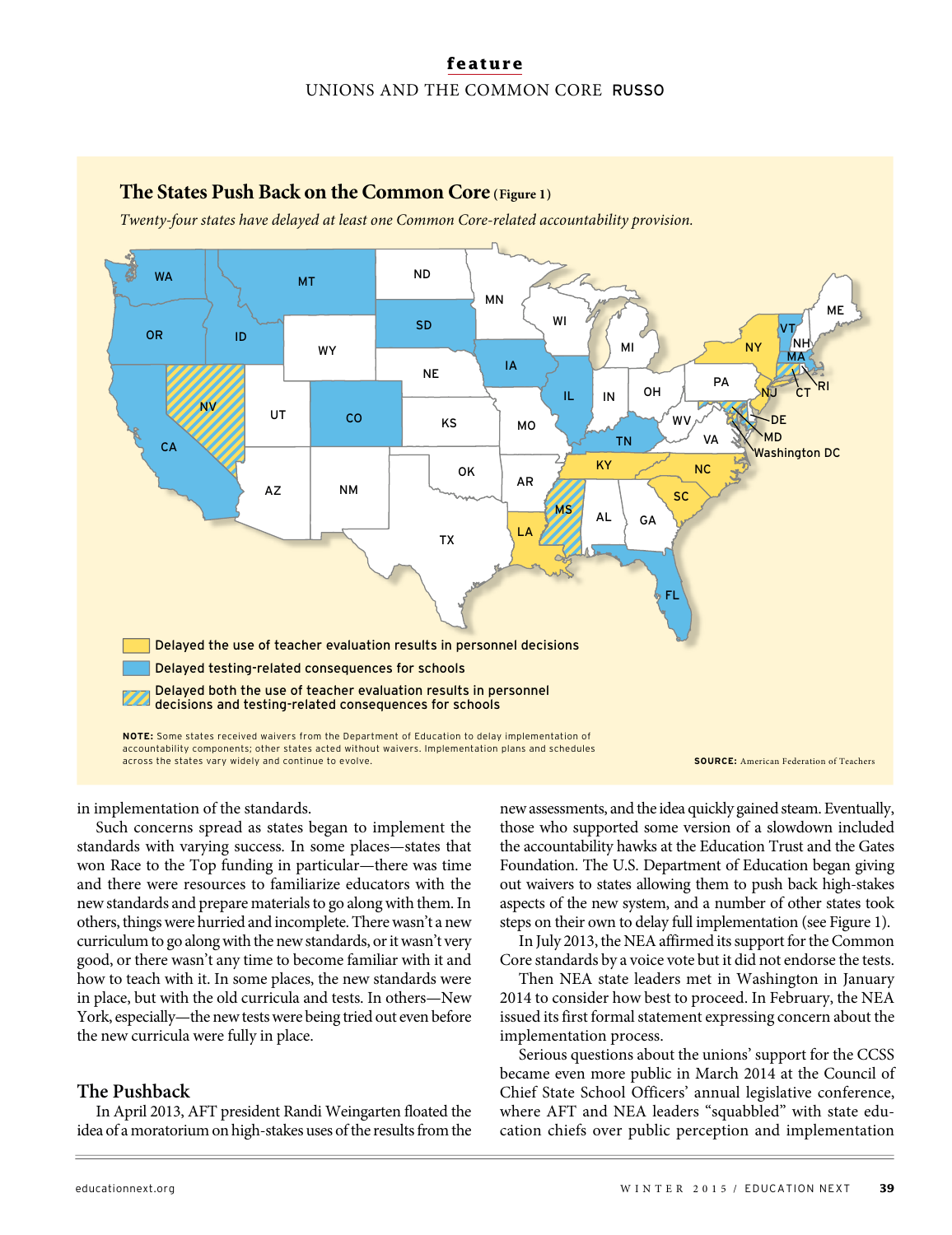### **feature** UNIONS AND THE COMMON CORE RUSSO

**The States Push Back on the Common Core (Figure 1)**

#### FL NM DE MD TX OK KS **NE** SD MT ND WY  $UT$   $C<sub>0</sub>$ ID AZ NV WA CA OR **KY** ME NY PA MI VT NH MA  $\overleftarrow{c}_{\mathsf{T}}$   $\overleftarrow{\mathsf{RI}}$ VA **WV**  $IL$   $IN$   $OH$ NC TN SC MS AL AR LA MO IA MN WI NJ GA Washington DC Delayed the use of teacher evaluation results in personnel decisions Delayed testing-related consequences for schools Delayed both the use of teacher evaluation results in personnel decisions and testing-related consequences for schools Twenty-four states have delayed at least one Common Core-related accountability provision. **SOURCE:** American Federation of Teachers **NOTE:** Some states received waivers from the Department of Education to delay implementation of accountability components; other states acted without waivers. Implementation plans and schedules across the states vary widely and continue to evolve.

in implementation of the standards.

Such concerns spread as states began to implement the standards with varying success. In some places—states that won Race to the Top funding in particular—there was time and there were resources to familiarize educators with the new standards and prepare materials to go along with them. In others, things were hurried and incomplete. There wasn't a new curriculum to go along with the new standards, or it wasn't very good, or there wasn't any time to become familiar with it and how to teach with it. In some places, the new standards were in place, but with the old curricula and tests. In others—New York, especially—the new tests were being tried out even before the new curricula were fully in place.

#### **The Pushback**

In April 2013, AFT president Randi Weingarten floated the idea of a moratorium on high-stakes uses of the results from the new assessments, and the idea quickly gained steam. Eventually, those who supported some version of a slowdown included the accountability hawks at the Education Trust and the Gates Foundation. The U.S. Department of Education began giving out waivers to states allowing them to push back high-stakes aspects of the new system, and a number of other states took steps on their own to delay full implementation (see Figure 1).

In July 2013, the NEA affirmed its support for the Common Core standards by a voice vote but it did not endorse the tests.

Then NEA state leaders met in Washington in January 2014 to consider how best to proceed. In February, the NEA issued its first formal statement expressing concern about the implementation process.

Serious questions about the unions' support for the CCSS became even more public in March 2014 at the Council of Chief State School Officers' annual legislative conference, where AFT and NEA leaders "squabbled" with state education chiefs over public perception and implementation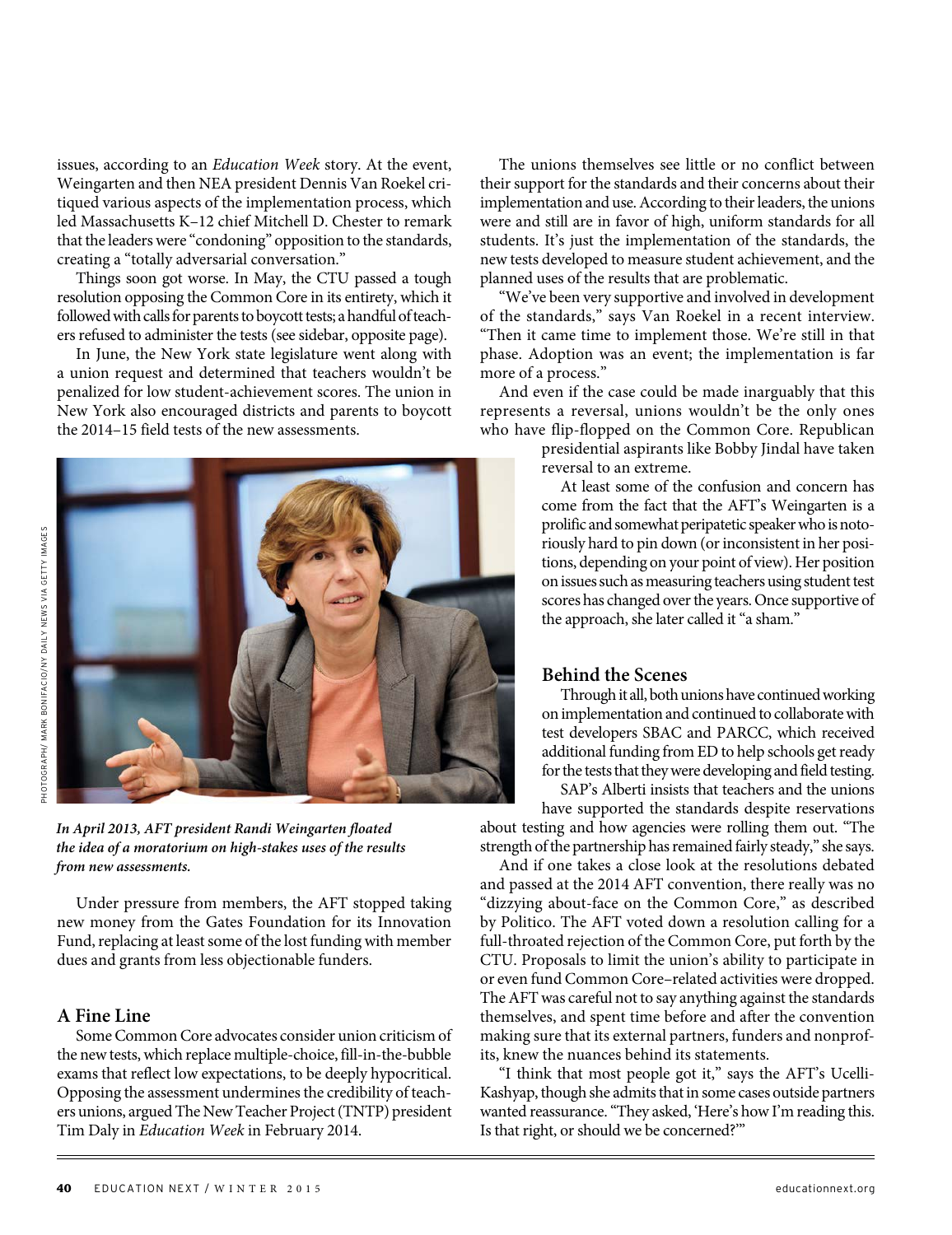issues, according to an Education Week story. At the event, Weingarten and then NEA president Dennis Van Roekel critiqued various aspects of the implementation process, which led Massachusetts K–12 chief Mitchell D. Chester to remark that the leaders were "condoning" opposition to the standards, creating a "totally adversarial conversation."

Things soon got worse. In May, the CTU passed a tough resolution opposing the Common Core in its entirety, which it followed with calls for parents to boycott tests; a handful of teachers refused to administer the tests (see sidebar, opposite page).

In June, the New York state legislature went along with a union request and determined that teachers wouldn't be penalized for low student-achievement scores. The union in New York also encouraged districts and parents to boycott the 2014–15 field tests of the new assessments.





**In April 2013, AFT president Randi Weingarten floated the idea of a moratorium on high-stakes uses of the results from new assessments.** 

Under pressure from members, the AFT stopped taking new money from the Gates Foundation for its Innovation Fund, replacing at least some of the lost funding with member dues and grants from less objectionable funders.

#### **A Fine Line**

Some Common Core advocates consider union criticism of the new tests, which replace multiple-choice, fill-in-the-bubble exams that reflect low expectations, to be deeply hypocritical. Opposing the assessment undermines the credibility of teachers unions, argued The New Teacher Project (TNTP) president Tim Daly in Education Week in February 2014.

The unions themselves see little or no conflict between their support for the standards and their concerns about their implementation and use. According to their leaders, the unions were and still are in favor of high, uniform standards for all students. It's just the implementation of the standards, the new tests developed to measure student achievement, and the planned uses of the results that are problematic.

"We've been very supportive and involved in development of the standards," says Van Roekel in a recent interview. "Then it came time to implement those. We're still in that phase. Adoption was an event; the implementation is far more of a process."

And even if the case could be made inarguably that this represents a reversal, unions wouldn't be the only ones who have flip-flopped on the Common Core. Republican

> presidential aspirants like Bobby Jindal have taken reversal to an extreme.

At least some of the confusion and concern has come from the fact that the AFT's Weingarten is a prolific and somewhat peripatetic speaker who is notoriously hard to pin down (or inconsistent in her positions, depending on your point of view). Her position on issues such as measuring teachers using student test scores has changed over the years. Once supportive of the approach, she later called it "a sham."

#### **Behind the Scenes**

Through it all, both unions have continued working on implementation and continued to collaborate with test developers SBAC and PARCC, which received additional funding from ED to help schools get ready for the tests that they were developing and field testing.

SAP's Alberti insists that teachers and the unions have supported the standards despite reservations about testing and how agencies were rolling them out. "The strength of the partnership has remained fairly steady," she says.

And if one takes a close look at the resolutions debated and passed at the 2014 AFT convention, there really was no "dizzying about-face on the Common Core," as described by Politico. The AFT voted down a resolution calling for a full-throated rejection of the Common Core, put forth by the CTU. Proposals to limit the union's ability to participate in or even fund Common Core–related activities were dropped. The AFT was careful not to say anything against the standards themselves, and spent time before and after the convention making sure that its external partners, funders and nonprofits, knew the nuances behind its statements.

"I think that most people got it," says the AFT's Ucelli-Kashyap, though she admits that in some cases outside partners wanted reassurance. "They asked, 'Here's how I'm reading this. Is that right, or should we be concerned?'"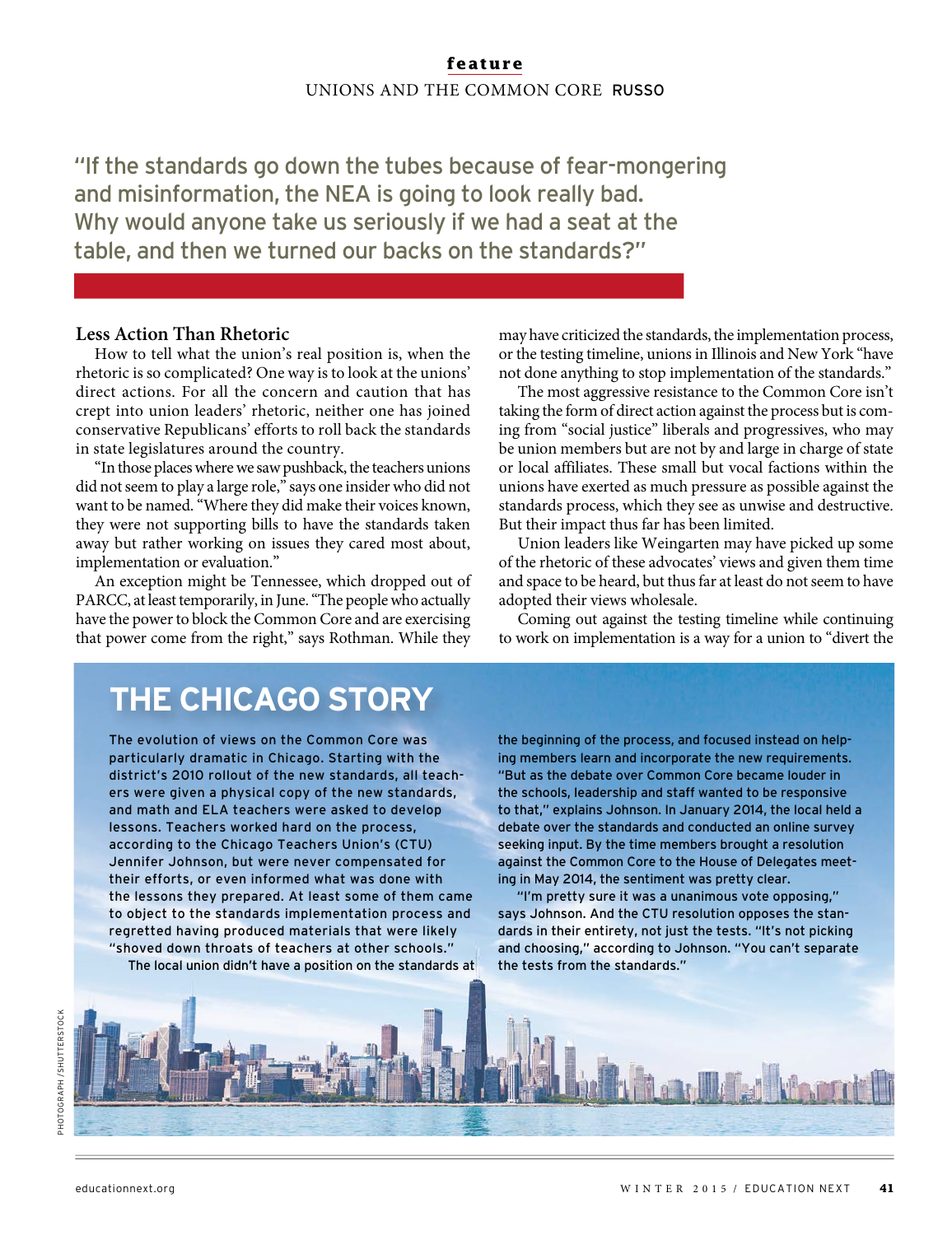### **feature** UNIONS AND THE COMMON CORE RUSSO

"If the standards go down the tubes because of fear-mongering and misinformation, the NEA is going to look really bad. Why would anyone take us seriously if we had a seat at the table, and then we turned our backs on the standards?"

#### **Less Action Than Rhetoric**

How to tell what the union's real position is, when the rhetoric is so complicated? One way is to look at the unions' direct actions. For all the concern and caution that has crept into union leaders' rhetoric, neither one has joined conservative Republicans' efforts to roll back the standards in state legislatures around the country.

"In those places where we saw pushback, the teachers unions did not seem to play a large role," says one insider who did not want to be named. "Where they did make their voices known, they were not supporting bills to have the standards taken away but rather working on issues they cared most about, implementation or evaluation."

An exception might be Tennessee, which dropped out of PARCC, at least temporarily, in June. "The people who actually have the power to block the Common Core and are exercising that power come from the right," says Rothman. While they may have criticized the standards, the implementation process, or the testing timeline, unions in Illinois and New York "have not done anything to stop implementation of the standards."

The most aggressive resistance to the Common Core isn't taking the form of direct action against the process but is coming from "social justice" liberals and progressives, who may be union members but are not by and large in charge of state or local affiliates. These small but vocal factions within the unions have exerted as much pressure as possible against the standards process, which they see as unwise and destructive. But their impact thus far has been limited.

Union leaders like Weingarten may have picked up some of the rhetoric of these advocates' views and given them time and space to be heard, but thus far at least do not seem to have adopted their views wholesale.

Coming out against the testing timeline while continuing to work on implementation is a way for a union to "divert the

## **THE CHICAGO STORY**

The evolution of views on the Common Core was particularly dramatic in Chicago. Starting with the district's 2010 rollout of the new standards, all teachers were given a physical copy of the new standards, and math and ELA teachers were asked to develop lessons. Teachers worked hard on the process, according to the Chicago Teachers Union's (CTU) Jennifer Johnson, but were never compensated for their efforts, or even informed what was done with the lessons they prepared. At least some of them came to object to the standards implementation process and regretted having produced materials that were likely "shoved down throats of teachers at other schools." The local union didn't have a position on the standards at the beginning of the process, and focused instead on helping members learn and incorporate the new requirements. "But as the debate over Common Core became louder in the schools, leadership and staff wanted to be responsive to that," explains Johnson. In January 2014, the local held a debate over the standards and conducted an online survey seeking input. By the time members brought a resolution against the Common Core to the House of Delegates meeting in May 2014, the sentiment was pretty clear.

"I'm pretty sure it was a unanimous vote opposing," says Johnson. And the CTU resolution opposes the standards in their entirety, not just the tests. "It's not picking and choosing," according to Johnson. "You can't separate the tests from the standards."